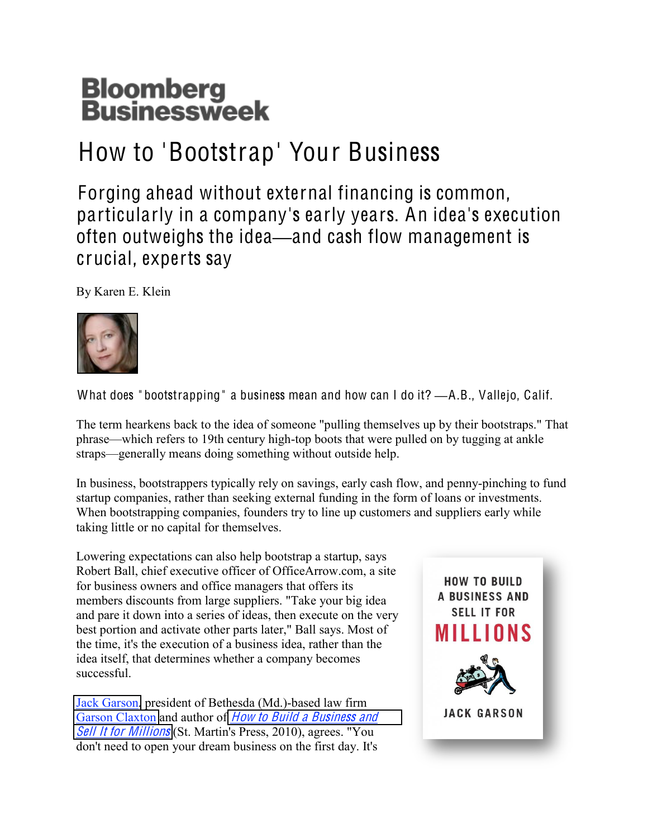## **Bloomberg<br>Businessweek**

## How to 'Bootstrap' Your Business

Forging ahead without external financing is common, particularly in a company's early years. An idea's execution often outweighs the idea**—**and cash flow management is crucial, experts say

By Karen E. Klein



What does " bootstrapping " a business mean and how can I do it? **—**A.B., Vallejo, Calif.

The term hearkens back to the idea of someone "pulling themselves up by their bootstraps." That phrase—which refers to 19th century high-top boots that were pulled on by tugging at ankle straps—generally means doing something without outside help.

In business, bootstrappers typically rely on savings, early cash flow, and penny-pinching to fund startup companies, rather than seeking external funding in the form of loans or investments. When bootstrapping companies, founders try to line up customers and suppliers early while taking little or no capital for themselves.

Lowering expectations can also help bootstrap a startup, says Robert Ball, chief executive officer of OfficeArrow.com, a site for business owners and office managers that offers its members discounts from large suppliers. "Take your big idea and pare it down into a series of ideas, then execute on the very best portion and activate other parts later," Ball says. Most of the time, it's the execution of a business idea, rather than the idea itself, that determines whether a company becomes successful.

[Jack Garson,](http://bizbygarson.com/about) president of Bethesda (Md.)-based law firm [Garson Claxton](http://www.garsonlaw.com/index.asp) and author of How <sup>t</sup><sup>o</sup> [Build](http://bizbygarson.com/about) <sup>a</sup> Business and Sell It for [Million](http://bizbygarson.com/about)s (St. Martin's Press, 2010), agrees. "You don't need to open your dream business on the first day. It's